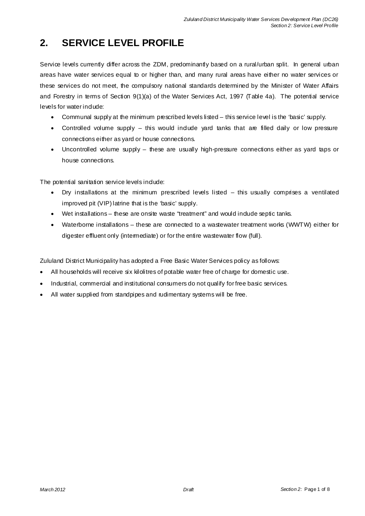# **2. SERVICE LEVEL PROFILE**

Service levels currently differ across the ZDM, predominantly based on a rural/urban split. In general urban areas have water services equal to or higher than, and many rural areas have either no water services or these services do not meet, the compulsory national standards determined by the Minister of Water Affairs and Forestry in terms of Section 9(1)(a) of the Water Services Act, 1997 (Table 4a). The potential service levels for water indude:

- Communal supply at the minimum prescribed levels listed this service level is the 'basic' supply.
- Controlled volume supply this would indude yard tanks that are filled daily or low pressure connections either as yard or house connections.
- Uncontrolled volume supply these are usually high-pressure connections either as yard taps or house connections.

The potential sanitation service levels indude:

- $\bullet$  Dry installations at the minimum prescribed levels listed  $-$  this usually comprises a ventilated improved pit (VIP) latrine that is the 'basic' supply.
- Wet installations these are onsite waste "treatment" and would indude septic tanks.
- Waterborne installations these are connected to a wastewater treatment works (WWTW) either for digester effluent only (intermediate) or for the entire wastewater flow (full).

Zululand District Municipality has adopted a Free Basic Water Services policy as follows:

- All households will receive six kilolitres of potable water free of charge for domestic use.
- Industrial, commercial and institutional consumers do not qualify for free basic services.
- All water supplied from standpipes and rudimentary systems will be free.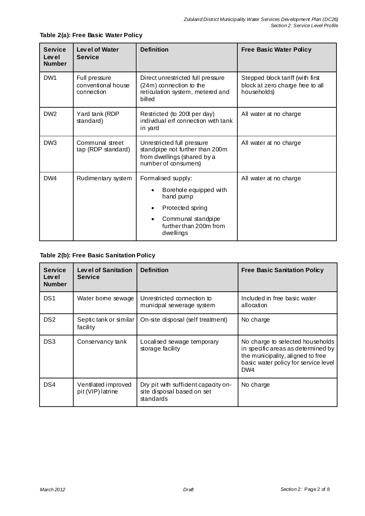| <b>Service</b><br>Level<br><b>Number</b> | Level of Water<br>Service                         | <b>Definition</b>                                                                                                    | <b>Free Basic Water Policy</b>                                                      |
|------------------------------------------|---------------------------------------------------|----------------------------------------------------------------------------------------------------------------------|-------------------------------------------------------------------------------------|
| DW1                                      | Full pressure<br>conventional house<br>connection | Direct unrestricted full pressure<br>(24m) connection to the<br>reticulation system, metered and<br>billed           | Stepped block tariff (with first<br>block at zero charge free to all<br>households) |
| DW <sub>2</sub>                          | Yard tank (RDP<br>standard)                       | Restricted (to 200 per day)<br>individual erf connection with tank<br>in yard                                        | All water at no charge                                                              |
| DW <sub>3</sub>                          | Communal street<br>tap (RDP standard)             | Unrestricted full pressure<br>standpipe not further than 200m<br>from dwellings (shared by a<br>number of consumers) | All water at no charge                                                              |
| DW4                                      | Rudimentary system                                | Formalised supply:                                                                                                   | All water at no charge                                                              |
|                                          |                                                   | Borehole equipped with<br>hand pump                                                                                  |                                                                                     |
|                                          |                                                   | Protected spring<br>$\bullet$                                                                                        |                                                                                     |
|                                          |                                                   | Communal standpipe<br>$\bullet$<br>further than 200m from<br>dwellings                                               |                                                                                     |

#### **Table 2(a): Free Basic Water Policy**

#### **Table 2(b): Free Basic Sanitation Policy**

| <b>Service</b><br>Lev el<br><b>Number</b> | <b>Level of Sanitation</b><br><b>Service</b> | <b>Definition</b>                                                               | <b>Free Basic Sanitation Policy</b>                                                                                                                        |
|-------------------------------------------|----------------------------------------------|---------------------------------------------------------------------------------|------------------------------------------------------------------------------------------------------------------------------------------------------------|
| DS <sub>1</sub>                           | Water bome sewage                            | Unrestricted connection to<br>municipal sewerage system                         | Included in free basic water<br>allocation                                                                                                                 |
| DS <sub>2</sub>                           | Septic tank or similar<br>facility           | On-site disposal (self treatment)                                               | No charge                                                                                                                                                  |
| DS3                                       | Conservancy tank                             | Localised sewage temporary<br>storage facility                                  | No charge to selected households<br>in specific areas as determined by<br>the municipality, aligned to free<br>basic water policy for service level<br>DW4 |
| DS4                                       | Ventilated improved<br>pit (VIP) latrine     | Dry pit with sufficient capacity on-<br>site disposal based on set<br>standards | No charge                                                                                                                                                  |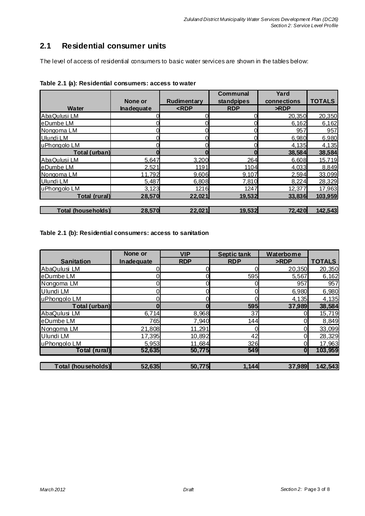### **2.1 Residential consumer units**

The level of access of residential consumers to basic water services are shown in the tables below:

|                           |                   |             | <b>Communal</b> | Yard        |               |
|---------------------------|-------------------|-------------|-----------------|-------------|---------------|
|                           | None or           | Rudimentary | standpipes      | connections | <b>TOTALS</b> |
| Water                     | <b>Inadequate</b> | RDP         | <b>RDP</b>      | >RDP        |               |
| AbaQulusi LM              |                   |             |                 | 20,350      | 20,350        |
| eDumbe LM                 |                   |             |                 | 6,162       | 6,162         |
| Nongoma LM                |                   |             |                 | 957         | 957           |
| Ulundi LM                 |                   |             |                 | 6,980       | 6,980         |
| uPhongolo LM              |                   |             | 0               | 4,135       | 4,135         |
| Total (urban)             |                   |             |                 | 38,584      | 38,584        |
| AbaQulusi LM              | 5,647             | 3,200       | 264             | 6,608       | 15,719        |
| eDumbe LM                 | 2.521             | 1191        | 1104            | 4.033       | 8.849         |
| Nongoma LM                | 11.792            | 9.606       | 9.107           | 2.594       | 33.099        |
| Ulundi LM                 | 5,487             | 6,808       | 7,810           | 8,224       | 28,329        |
| uPhongolo LM              | 3,123             | 1216        | 1247            | 12,377      | 17,963        |
| Total (rural)             | 28,570            | 22,021      | 19,532          | 33,836      | 103,959       |
|                           |                   |             |                 |             |               |
| <b>Total (households)</b> | 28,570            | 22,021      | 19,532          | 72,420      | 142,543       |

|  |  | Table 2.1 (a): Residential consumers: access to water |  |  |
|--|--|-------------------------------------------------------|--|--|
|--|--|-------------------------------------------------------|--|--|

#### **Table 2.1 (b): Residential consumers: access to sanitation**

|                           | None or    | <b>VIP</b> | <b>Septic tank</b> | Waterborne       |               |
|---------------------------|------------|------------|--------------------|------------------|---------------|
| <b>Sanitation</b>         | Inadequate | <b>RDP</b> | <b>RDP</b>         | >RDP             | <b>TOTALS</b> |
| AbaQulusi LM              |            |            |                    | 20,350           | 20,350        |
| eDumbe LM                 |            |            | 595                | 5,567            | 6,162         |
| Nongoma LM                |            |            |                    | 957              | 957           |
| Ulundi LM                 |            |            |                    | 6,980            | 6,980         |
| uPhongolo LM              |            |            |                    | 4,135            | 4,135         |
| Total (urban)             |            |            | 595                | 37,989           | 38,584        |
| AbaQulusi LM              | 6,714      | 8,968      | 37                 |                  | 15,719        |
| eDumbe LM                 | 765        | 7,940      | 144                |                  | 8,849         |
| Nongoma LM                | 21,808     | 11,291     |                    |                  | 33,099        |
| Ulundi LM                 | 17,395     | 10,892     | 42                 |                  | 28,329        |
| uPhongolo LM              | 5,953      | 11,684     | 326                |                  | 17,963        |
| Total (rural)             | 52,635     | 50,775     | 549                | $\boldsymbol{0}$ | 103,959       |
|                           |            |            |                    |                  |               |
| <b>Total (households)</b> | 52,635     | 50,775     | 1,144              | 37,989           | 142,543       |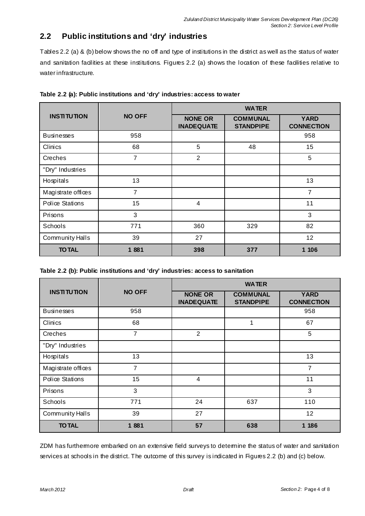## **2.2 Public institutions and 'dry' industries**

Tables 2.2 (a) & (b) below shows the no off and type of institutions in the district as well as the status of water and sanitation facilities at these institutions. Figures 2.2 (a) shows the location of these facilities relative to water infrastructure.

|                    |                | <b>WATER</b>                        |                                     |                                  |  |  |
|--------------------|----------------|-------------------------------------|-------------------------------------|----------------------------------|--|--|
| <b>INSTITUTION</b> | <b>NO OFF</b>  | <b>NONE OR</b><br><b>INADEQUATE</b> | <b>COMMUNAL</b><br><b>STANDPIPE</b> | <b>YARD</b><br><b>CONNECTION</b> |  |  |
| <b>Businesses</b>  | 958            |                                     |                                     | 958                              |  |  |
| Clinics            | 68             | 5                                   | 48                                  | 15                               |  |  |
| Creches            | $\overline{7}$ | $\overline{2}$                      |                                     | 5                                |  |  |
| "Dry" Industries   |                |                                     |                                     |                                  |  |  |
| Hospitals          | 13             |                                     |                                     | 13                               |  |  |
| Magistrate offices | $\overline{7}$ |                                     |                                     | 7                                |  |  |
| Police Stations    | 15             | $\overline{4}$                      |                                     | 11                               |  |  |
| Prisons            | 3              |                                     |                                     | 3                                |  |  |
| Schools            | 771            | 360                                 | 329                                 | 82                               |  |  |
| Community Halls    | 39             | 27                                  |                                     | 12                               |  |  |
| <b>TO TAL</b>      | 1881           | 398                                 | 377                                 | 1 106                            |  |  |

**Table 2.2 (a): Public institutions and 'dry' industries: access to water** 

|  | Table 2.2 (b): Public institutions and 'dry' industries: access to sanitation |  |  |  |
|--|-------------------------------------------------------------------------------|--|--|--|
|  |                                                                               |  |  |  |

|                    |                | <b>WATER</b>                        |                                     |                                  |  |
|--------------------|----------------|-------------------------------------|-------------------------------------|----------------------------------|--|
| <b>INSTITUTION</b> | <b>NO OFF</b>  | <b>NONE OR</b><br><b>INADEQUATE</b> | <b>COMMUNAL</b><br><b>STANDPIPE</b> | <b>YARD</b><br><b>CONNECTION</b> |  |
| <b>Businesses</b>  | 958            |                                     |                                     | 958                              |  |
| Clinics            | 68             |                                     | 1                                   | 67                               |  |
| Creches            | $\overline{7}$ | $\overline{2}$                      |                                     | 5                                |  |
| "Dry" Industries   |                |                                     |                                     |                                  |  |
| Hospitals          | 13             |                                     |                                     | 13                               |  |
| Magistrate offices | $\overline{7}$ |                                     |                                     | 7                                |  |
| Police Stations    | 15             | 4                                   |                                     | 11                               |  |
| Prisons            | 3              |                                     |                                     | 3                                |  |
| Schools            | 771            | 24                                  | 637                                 | 110                              |  |
| Community Halls    | 39             | 27                                  |                                     | 12                               |  |
| <b>TO TAL</b>      | 1881           | 57                                  | 638                                 | 1 186                            |  |

ZDM has furthermore embarked on an extensive field surveys to determine the status of water and sanitation services at schools in the district. The outcome of this survey is indicated in Figures 2.2 (b) and (c) below.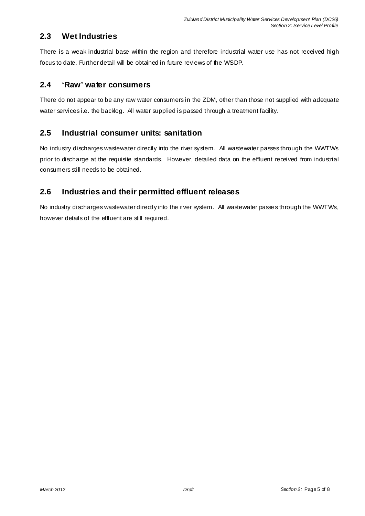#### **2.3 Wet Industries**

There is a weak industrial base within the region and therefore industrial water use has not received high focus to date. Further detail will be obtained in future reviews of the WSDP.

#### **2.4 'Raw' water consumers**

There do not appear to be any raw water consumers in the ZDM, other than those not supplied with adequate water services i.e. the backlog. All water supplied is passed through a treatment facility.

### **2.5 Industrial consumer units: sanitation**

No industry discharges wastewater directly into the river system. All wastewater passes through the WWTWs prior to discharge at the requisite standards. However, detailed data on the effluent received from industrial consumers still needs to be obtained.

#### **2.6 Industries and their permitted effluent releases**

No industry discharges wastewater directly into the river system. All wastewater passe s through the WWTWs, however details of the effluent are still required.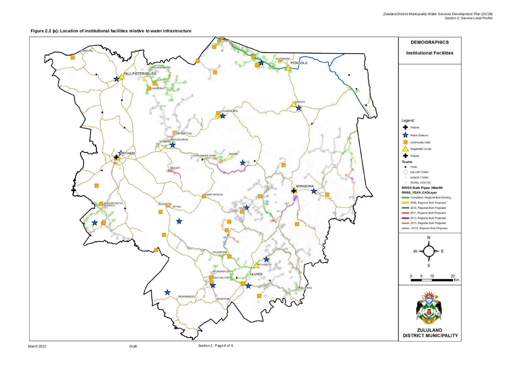#### **Figure 2.2 (a): Location of institutional facilities relative to water infrastructure**

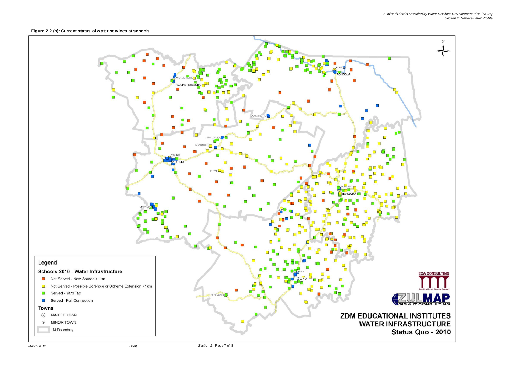**Figure 2.2 (b): Current status of water services at schools**